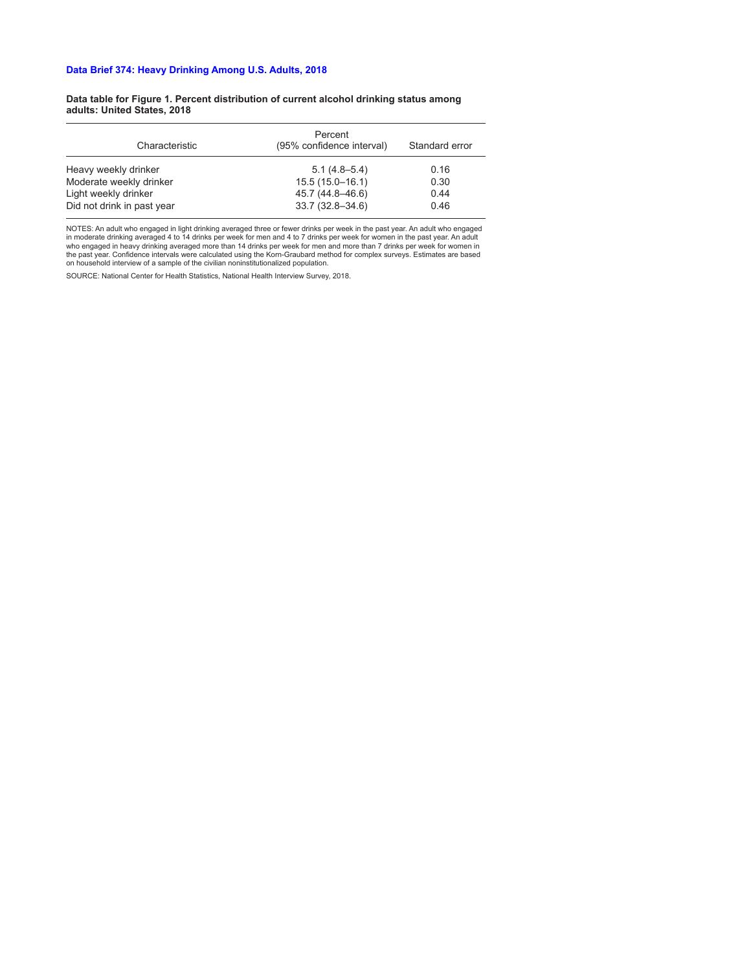#### **Data table for Figure 1. Percent distribution of current alcohol drinking status among adults: United States, 2018**

| Characteristic             | Percent<br>(95% confidence interval) | Standard error |
|----------------------------|--------------------------------------|----------------|
| Heavy weekly drinker       | $5.1(4.8 - 5.4)$                     | 0.16           |
| Moderate weekly drinker    | $15.5(15.0 - 16.1)$                  | 0.30           |
| Light weekly drinker       | 45.7 (44.8–46.6)                     | 0.44           |
| Did not drink in past year | $33.7(32.8 - 34.6)$                  | 0.46           |

NOTES: An adult who engaged in light drinking averaged three or fewer drinks per week in the past year. An adult who engaged<br>in moderate drinking averaged 4 to 14 drinks per week for men and 4 to 7 drinks per week for wome the past year. Confidence intervals were calculated using the Korn-Graubard method for complex surveys. Estimates are based on household interview of a sample of the civilian noninstitutionalized population.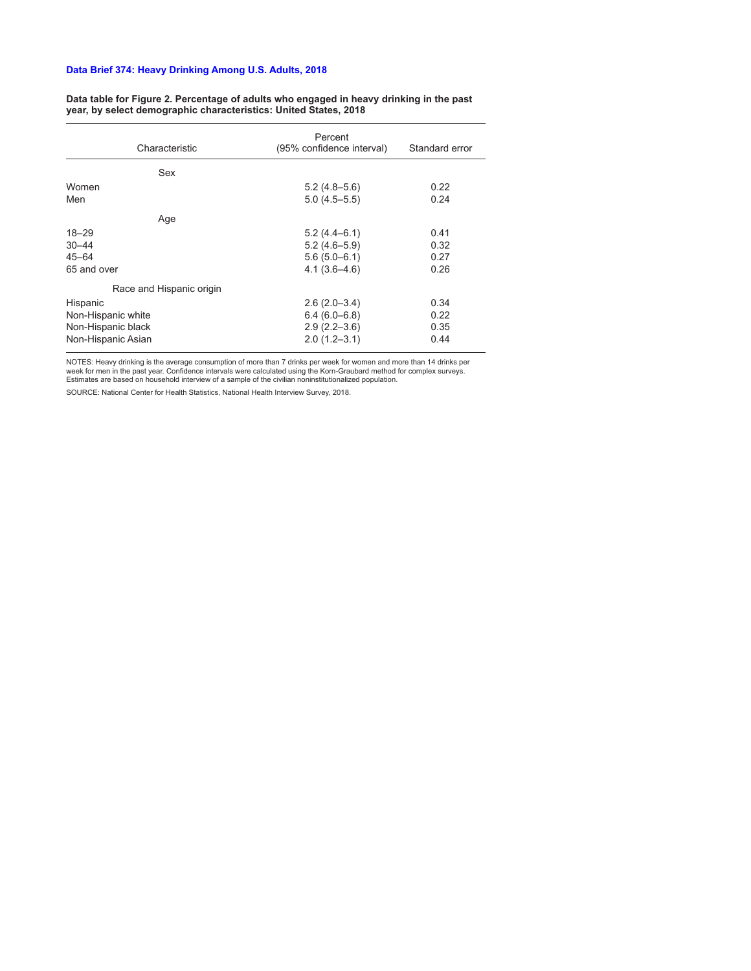#### **Data table for Figure 2. Percentage of adults who engaged in heavy drinking in the past year, by select demographic characteristics: United States, 2018**

| Characteristic           | Percent<br>(95% confidence interval) | Standard error |
|--------------------------|--------------------------------------|----------------|
| Sex                      |                                      |                |
| Women                    | $5.2(4.8-5.6)$                       | 0.22           |
| Men                      | $5.0(4.5 - 5.5)$                     | 0.24           |
| Age                      |                                      |                |
| $18 - 29$                | $5.2(4.4-6.1)$                       | 0.41           |
| $30 - 44$                | $5.2(4.6 - 5.9)$                     | 0.32           |
| $45 - 64$                | $5.6(5.0-6.1)$                       | 0.27           |
| 65 and over              | $4.1(3.6 - 4.6)$                     | 0.26           |
| Race and Hispanic origin |                                      |                |
| Hispanic                 | $2.6(2.0-3.4)$                       | 0.34           |
| Non-Hispanic white       | $6.4(6.0 - 6.8)$                     | 0.22           |
| Non-Hispanic black       | $2.9(2.2 - 3.6)$                     | 0.35           |
| Non-Hispanic Asian       | $2.0(1.2 - 3.1)$                     | 0.44           |

NOTES: Heavy drinking is the average consumption of more than 7 drinks per week for women and more than 14 drinks per<br>week for men in the past year. Confidence intervals were calculated using the Korn-Graubard method for c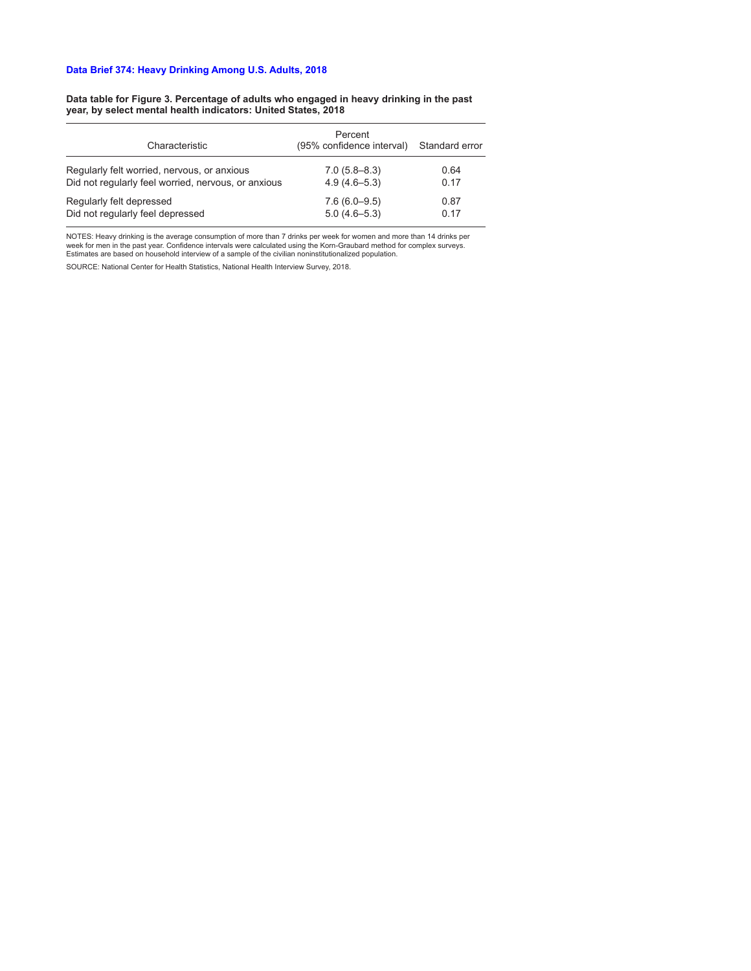#### **Data table for Figure 3. Percentage of adults who engaged in heavy drinking in the past year, by select mental health indicators: United States, 2018**

| Characteristic                                      | Percent<br>(95% confidence interval) | Standard error |
|-----------------------------------------------------|--------------------------------------|----------------|
| Regularly felt worried, nervous, or anxious         | $7.0(5.8 - 8.3)$                     | 0.64           |
| Did not regularly feel worried, nervous, or anxious | $4.9(4.6 - 5.3)$                     | 0.17           |
| Regularly felt depressed                            | $7.6(6.0-9.5)$                       | 0.87           |
| Did not regularly feel depressed                    | $5.0(4.6 - 5.3)$                     | 0.17           |

NOTES: Heavy drinking is the average consumption of more than 7 drinks per week for women and more than 14 drinks per week for men in the past year. Confidence intervals were calculated using the Korn-Graubard method for complex surveys. Estimates are based on household interview of a sample of the civilian noninstitutionalized population.